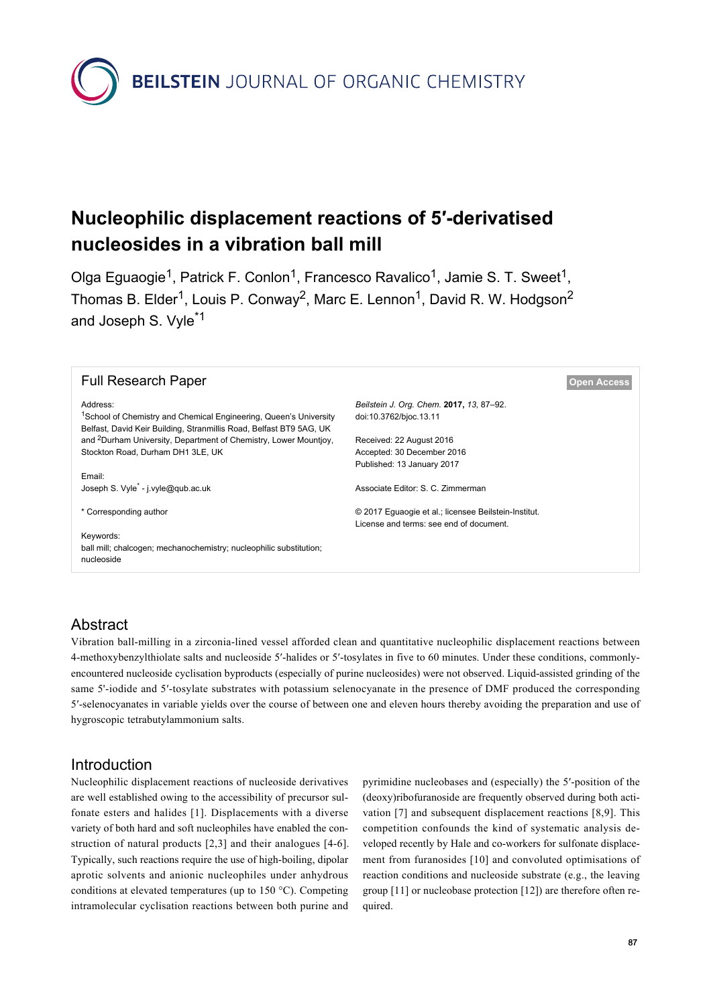

# **Nucleophilic displacement reactions of 5′-derivatised nucleosides in a vibration ball mill**

Olga Eguaogie<sup>1</sup>, Patrick F. Conlon<sup>1</sup>, Francesco Ravalico<sup>1</sup>, Jamie S. T. Sweet<sup>1</sup>, Thomas B. Elder<sup>1</sup>, Louis P. Conway<sup>2</sup>, Marc E. Lennon<sup>1</sup>, David R. W. Hodgson<sup>2</sup> and Joseph S. Vyle\*1

| <b>Full Research Paper</b>                                                                                                                           |                                                      | <b>Open Access</b> |
|------------------------------------------------------------------------------------------------------------------------------------------------------|------------------------------------------------------|--------------------|
| Address:                                                                                                                                             | Beilstein J. Org. Chem. 2017, 13, 87-92.             |                    |
| <sup>1</sup> School of Chemistry and Chemical Engineering, Queen's University<br>Belfast, David Keir Building, Stranmillis Road, Belfast BT9 5AG, UK | doi:10.3762/bjoc.13.11                               |                    |
| and <sup>2</sup> Durham University, Department of Chemistry, Lower Mountioy,                                                                         | Received: 22 August 2016                             |                    |
| Stockton Road, Durham DH1 3LE, UK                                                                                                                    | Accepted: 30 December 2016                           |                    |
|                                                                                                                                                      | Published: 13 January 2017                           |                    |
| Email:                                                                                                                                               |                                                      |                    |
| Joseph S. Vyle <sup>*</sup> - j.vyle@qub.ac.uk                                                                                                       | Associate Editor: S. C. Zimmerman                    |                    |
| * Corresponding author                                                                                                                               | © 2017 Eguaogie et al.; licensee Beilstein-Institut. |                    |
|                                                                                                                                                      | License and terms: see end of document.              |                    |
| Keywords:                                                                                                                                            |                                                      |                    |
| ball mill; chalcogen; mechanochemistry; nucleophilic substitution;                                                                                   |                                                      |                    |
| nucleoside                                                                                                                                           |                                                      |                    |

# Abstract

Vibration ball-milling in a zirconia-lined vessel afforded clean and quantitative nucleophilic displacement reactions between 4-methoxybenzylthiolate salts and nucleoside 5′-halides or 5′-tosylates in five to 60 minutes. Under these conditions, commonlyencountered nucleoside cyclisation byproducts (especially of purine nucleosides) were not observed. Liquid-assisted grinding of the same 5'-iodide and 5'-tosylate substrates with potassium selenocyanate in the presence of DMF produced the corresponding 5′-selenocyanates in variable yields over the course of between one and eleven hours thereby avoiding the preparation and use of hygroscopic tetrabutylammonium salts.

## Introduction

Nucleophilic displacement reactions of nucleoside derivatives are well established owing to the accessibility of precursor sulfonate esters and halides [\[1\].](#page-4-0) Displacements with a diverse variety of both hard and soft nucleophiles have enabled the construction of natural products [\[2,3\]](#page-4-1) and their analogues [\[4-6\]](#page-4-2). Typically, such reactions require the use of high-boiling, dipolar aprotic solvents and anionic nucleophiles under anhydrous conditions at elevated temperatures (up to 150 °C). Competing intramolecular cyclisation reactions between both purine and

pyrimidine nucleobases and (especially) the 5′-position of the (deoxy)ribofuranoside are frequently observed during both activation [\[7\]](#page-4-3) and subsequent displacement reactions [\[8,9\]](#page-4-4). This competition confounds the kind of systematic analysis developed recently by Hale and co-workers for sulfonate displacement from furanosides [\[10\]](#page-4-5) and convoluted optimisations of reaction conditions and nucleoside substrate (e.g., the leaving group [\[11\]](#page-4-6) or nucleobase protection [\[12\]\)](#page-4-7) are therefore often required.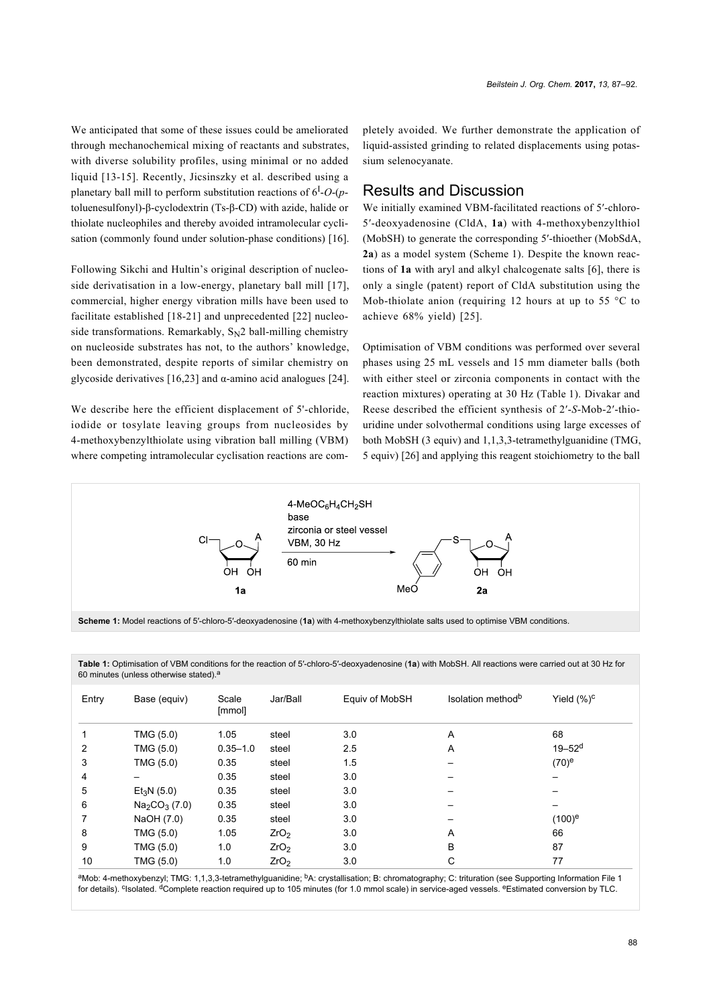We anticipated that some of these issues could be ameliorated through mechanochemical mixing of reactants and substrates, with diverse solubility profiles, using minimal or no added liquid [\[13-15\]](#page-4-9). Recently, Jicsinszky et al. described using a planetary ball mill to perform substitution reactions of 6<sup>I</sup> -*O*-(*p*toluenesulfonyl)-β-cyclodextrin (Ts-β-CD) with azide, halide or thiolate nucleophiles and thereby avoided intramolecular cyclisation (commonly found under solution-phase conditions) [\[16\]](#page-4-10).

Following Sikchi and Hultin's original description of nucleoside derivatisation in a low-energy, planetary ball mill [\[17\]](#page-4-11), commercial, higher energy vibration mills have been used to facilitate established [\[18-21\]](#page-4-12) and unprecedented [\[22\]](#page-4-13) nucleoside transformations. Remarkably,  $S_N2$  ball-milling chemistry on nucleoside substrates has not, to the authors' knowledge, been demonstrated, despite reports of similar chemistry on glycoside derivatives [\[16,23\]](#page-4-10) and  $\alpha$ -amino acid analogues [\[24\]](#page-4-14).

We describe here the efficient displacement of 5'-chloride, iodide or tosylate leaving groups from nucleosides by 4-methoxybenzylthiolate using vibration ball milling (VBM) where competing intramolecular cyclisation reactions are completely avoided. We further demonstrate the application of liquid-assisted grinding to related displacements using potassium selenocyanate.

#### Results and Discussion

We initially examined VBM-facilitated reactions of 5′-chloro-5′-deoxyadenosine (CldA, **1a**) with 4-methoxybenzylthiol (MobSH) to generate the corresponding 5′-thioether (MobSdA, **2a**) as a model system ([Scheme 1](#page-1-0)). Despite the known reactions of **1a** with aryl and alkyl chalcogenate salts [\[6\],](#page-4-15) there is only a single (patent) report of CldA substitution using the Mob-thiolate anion (requiring 12 hours at up to 55  $\degree$ C to achieve 68% yield) [\[25\]](#page-4-16).

Optimisation of VBM conditions was performed over several phases using 25 mL vessels and 15 mm diameter balls (both with either steel or zirconia components in contact with the reaction mixtures) operating at 30 Hz [\(Table 1\)](#page-1-1). Divakar and Reese described the efficient synthesis of 2′-*S*-Mob-2′-thiouridine under solvothermal conditions using large excesses of both MobSH (3 equiv) and 1,1,3,3-tetramethylguanidine (TMG, 5 equiv) [\[26\]](#page-4-17) and applying this reagent stoichiometry to the ball

<span id="page-1-0"></span>

**Scheme 1:** Model reactions of 5′-chloro-5′-deoxyadenosine (**1a**) with 4-methoxybenzylthiolate salts used to optimise VBM conditions.

| Entry | Base (equiv)           | Scale<br>[mmol] | Jar/Ball         | Equiv of MobSH | Isolation method <sup>b</sup> | Yield $(\%)^c$         |  |  |
|-------|------------------------|-----------------|------------------|----------------|-------------------------------|------------------------|--|--|
|       | TMG (5.0)              | 1.05            | steel            | 3.0            | Α                             | 68                     |  |  |
| 2     | TMG (5.0)              | $0.35 - 1.0$    | steel            | 2.5            | A                             | $19 - 52$ <sup>d</sup> |  |  |
| 3     | TMG (5.0)              | 0.35            | steel            | 1.5            |                               | $(70)^e$               |  |  |
| 4     |                        | 0.35            | steel            | 3.0            |                               |                        |  |  |
| 5     | Et <sub>3</sub> N(5.0) | 0.35            | steel            | 3.0            |                               |                        |  |  |
| 6     | $Na2CO3$ (7.0)         | 0.35            | steel            | 3.0            |                               |                        |  |  |
|       | NaOH (7.0)             | 0.35            | steel            | 3.0            |                               | $(100)^e$              |  |  |
| 8     | TMG (5.0)              | 1.05            | ZrO <sub>2</sub> | 3.0            | A                             | 66                     |  |  |
| 9     | TMG (5.0)              | 1.0             | ZrO <sub>2</sub> | 3.0            | B                             | 87                     |  |  |
| 10    | TMG (5.0)              | 1.0             | ZrO <sub>2</sub> | 3.0            | С                             | 77                     |  |  |

<span id="page-1-1"></span>**Table 1:** Optimisation of VBM conditions for the reaction of 5′-chloro-5′-deoxyadenosine (**1a**) with MobSH. All reactions were carried out at 30 Hz for 60 minutes (unless otherwise stated).

aMob: 4-methoxybenzyl; TMG: 1,1,3,3-tetramethylguanidine; <sup>b</sup>A: crystallisation; B: chromatography; C: trituration (see [Supporting Information File 1](#page-4-8) for details). <sup>c</sup>Isolated. <sup>d</sup>Complete reaction required up to 105 minutes (for 1.0 mmol scale) in service-aged vessels. <sup>e</sup>Estimated conversion by TLC.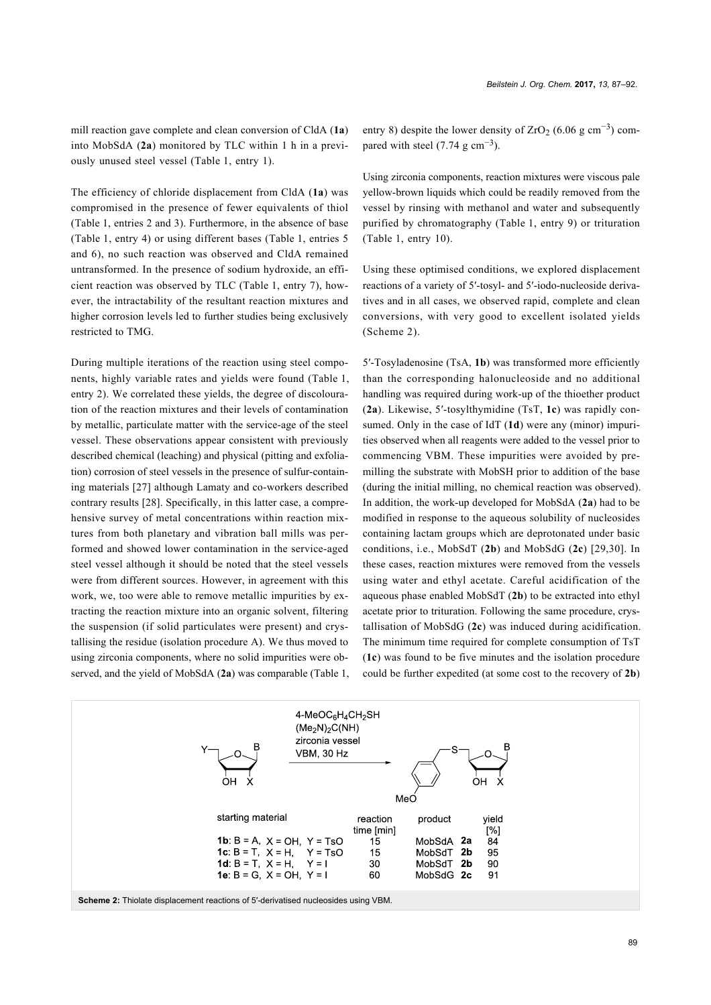mill reaction gave complete and clean conversion of CldA (**1a**) into MobSdA (**2a**) monitored by TLC within 1 h in a previously unused steel vessel ([Table 1](#page-1-1), entry 1).

The efficiency of chloride displacement from CldA (**1a**) was compromised in the presence of fewer equivalents of thiol ([Table 1](#page-1-1), entries 2 and 3). Furthermore, in the absence of base ([Table 1](#page-1-1), entry 4) or using different bases ([Table 1](#page-1-1), entries 5 and 6), no such reaction was observed and CldA remained untransformed. In the presence of sodium hydroxide, an efficient reaction was observed by TLC [\(Table 1,](#page-1-1) entry 7), however, the intractability of the resultant reaction mixtures and higher corrosion levels led to further studies being exclusively restricted to TMG.

During multiple iterations of the reaction using steel components, highly variable rates and yields were found ([Table 1](#page-1-1), entry 2). We correlated these yields, the degree of discolouration of the reaction mixtures and their levels of contamination by metallic, particulate matter with the service-age of the steel vessel. These observations appear consistent with previously described chemical (leaching) and physical (pitting and exfoliation) corrosion of steel vessels in the presence of sulfur-containing materials [\[27\]](#page-4-18) although Lamaty and co-workers described contrary results [\[28\]](#page-4-19). Specifically, in this latter case, a comprehensive survey of metal concentrations within reaction mixtures from both planetary and vibration ball mills was performed and showed lower contamination in the service-aged steel vessel although it should be noted that the steel vessels were from different sources. However, in agreement with this work, we, too were able to remove metallic impurities by extracting the reaction mixture into an organic solvent, filtering the suspension (if solid particulates were present) and crystallising the residue (isolation procedure A). We thus moved to using zirconia components, where no solid impurities were observed, and the yield of MobSdA (**2a**) was comparable ([Table 1](#page-1-1), entry 8) despite the lower density of  $ZrO_2$  (6.06 g cm<sup>-3</sup>) compared with steel  $(7.74 \text{ g cm}^{-3})$ .

Using zirconia components, reaction mixtures were viscous pale yellow-brown liquids which could be readily removed from the vessel by rinsing with methanol and water and subsequently purified by chromatography ([Table 1,](#page-1-1) entry 9) or trituration ([Table 1](#page-1-1), entry 10).

Using these optimised conditions, we explored displacement reactions of a variety of 5′-tosyl- and 5′-iodo-nucleoside derivatives and in all cases, we observed rapid, complete and clean conversions, with very good to excellent isolated yields ([Scheme 2](#page-2-0)).

5′-Tosyladenosine (TsA, **1b**) was transformed more efficiently than the corresponding halonucleoside and no additional handling was required during work-up of the thioether product (**2a**). Likewise, 5′-tosylthymidine (TsT, **1c**) was rapidly consumed. Only in the case of IdT (**1d**) were any (minor) impurities observed when all reagents were added to the vessel prior to commencing VBM. These impurities were avoided by premilling the substrate with MobSH prior to addition of the base (during the initial milling, no chemical reaction was observed). In addition, the work-up developed for MobSdA (**2a**) had to be modified in response to the aqueous solubility of nucleosides containing lactam groups which are deprotonated under basic conditions, i.e., MobSdT (**2b**) and MobSdG (**2c**) [\[29,30\]](#page-4-20). In these cases, reaction mixtures were removed from the vessels using water and ethyl acetate. Careful acidification of the aqueous phase enabled MobSdT (**2b**) to be extracted into ethyl acetate prior to trituration. Following the same procedure, crystallisation of MobSdG (**2c**) was induced during acidification. The minimum time required for complete consumption of TsT (**1c**) was found to be five minutes and the isolation procedure could be further expedited (at some cost to the recovery of **2b**)

<span id="page-2-0"></span>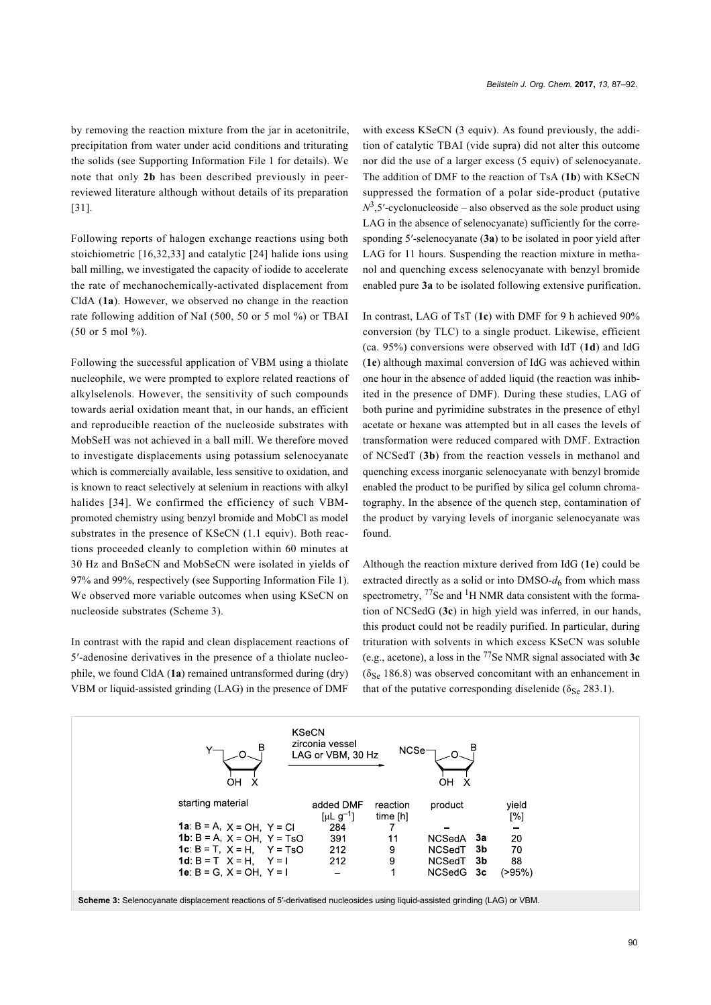by removing the reaction mixture from the jar in acetonitrile, precipitation from water under acid conditions and triturating the solids (see [Supporting Information File 1](#page-4-8) for details). We note that only **2b** has been described previously in peerreviewed literature although without details of its preparation [\[31\]](#page-4-21).

Following reports of halogen exchange reactions using both stoichiometric [\[16,32,33\]](#page-4-10) and catalytic [\[24\]](#page-4-14) halide ions using ball milling, we investigated the capacity of iodide to accelerate the rate of mechanochemically-activated displacement from CldA (**1a**). However, we observed no change in the reaction rate following addition of NaI (500, 50 or 5 mol %) or TBAI (50 or 5 mol %).

Following the successful application of VBM using a thiolate nucleophile, we were prompted to explore related reactions of alkylselenols. However, the sensitivity of such compounds towards aerial oxidation meant that, in our hands, an efficient and reproducible reaction of the nucleoside substrates with MobSeH was not achieved in a ball mill. We therefore moved to investigate displacements using potassium selenocyanate which is commercially available, less sensitive to oxidation, and is known to react selectively at selenium in reactions with alkyl halides [\[34\]](#page-4-22). We confirmed the efficiency of such VBMpromoted chemistry using benzyl bromide and MobCl as model substrates in the presence of KSeCN (1.1 equiv). Both reactions proceeded cleanly to completion within 60 minutes at 30 Hz and BnSeCN and MobSeCN were isolated in yields of 97% and 99%, respectively (see [Supporting Information File 1](#page-4-8)). We observed more variable outcomes when using KSeCN on nucleoside substrates [\(Scheme 3](#page-3-0)).

In contrast with the rapid and clean displacement reactions of 5′-adenosine derivatives in the presence of a thiolate nucleophile, we found CldA (**1a**) remained untransformed during (dry) VBM or liquid-assisted grinding (LAG) in the presence of DMF

with excess KSeCN (3 equiv). As found previously, the addition of catalytic TBAI (vide supra) did not alter this outcome nor did the use of a larger excess (5 equiv) of selenocyanate. The addition of DMF to the reaction of TsA (**1b**) with KSeCN suppressed the formation of a polar side-product (putative  $N^3$ ,5'-cyclonucleoside – also observed as the sole product using LAG in the absence of selenocyanate) sufficiently for the corresponding 5′-selenocyanate (**3a**) to be isolated in poor yield after LAG for 11 hours. Suspending the reaction mixture in methanol and quenching excess selenocyanate with benzyl bromide enabled pure **3a** to be isolated following extensive purification.

In contrast, LAG of TsT (**1c**) with DMF for 9 h achieved 90% conversion (by TLC) to a single product. Likewise, efficient (ca. 95%) conversions were observed with IdT (**1d**) and IdG (**1e**) although maximal conversion of IdG was achieved within one hour in the absence of added liquid (the reaction was inhibited in the presence of DMF). During these studies, LAG of both purine and pyrimidine substrates in the presence of ethyl acetate or hexane was attempted but in all cases the levels of transformation were reduced compared with DMF. Extraction of NCSedT (**3b**) from the reaction vessels in methanol and quenching excess inorganic selenocyanate with benzyl bromide enabled the product to be purified by silica gel column chromatography. In the absence of the quench step, contamination of the product by varying levels of inorganic selenocyanate was found.

Although the reaction mixture derived from IdG (**1e**) could be extracted directly as a solid or into  $DMSO-d<sub>6</sub>$  from which mass spectrometry, <sup>77</sup>Se and <sup>1</sup>H NMR data consistent with the formation of NCSedG (**3c**) in high yield was inferred, in our hands, this product could not be readily purified. In particular, during trituration with solvents in which excess KSeCN was soluble (e.g., acetone), a loss in the 77Se NMR signal associated with **3c**  $(\delta_{\text{Se}} 186.8)$  was observed concomitant with an enhancement in that of the putative corresponding diselenide ( $\delta_{\text{Se}}$  283.1).

<span id="page-3-0"></span>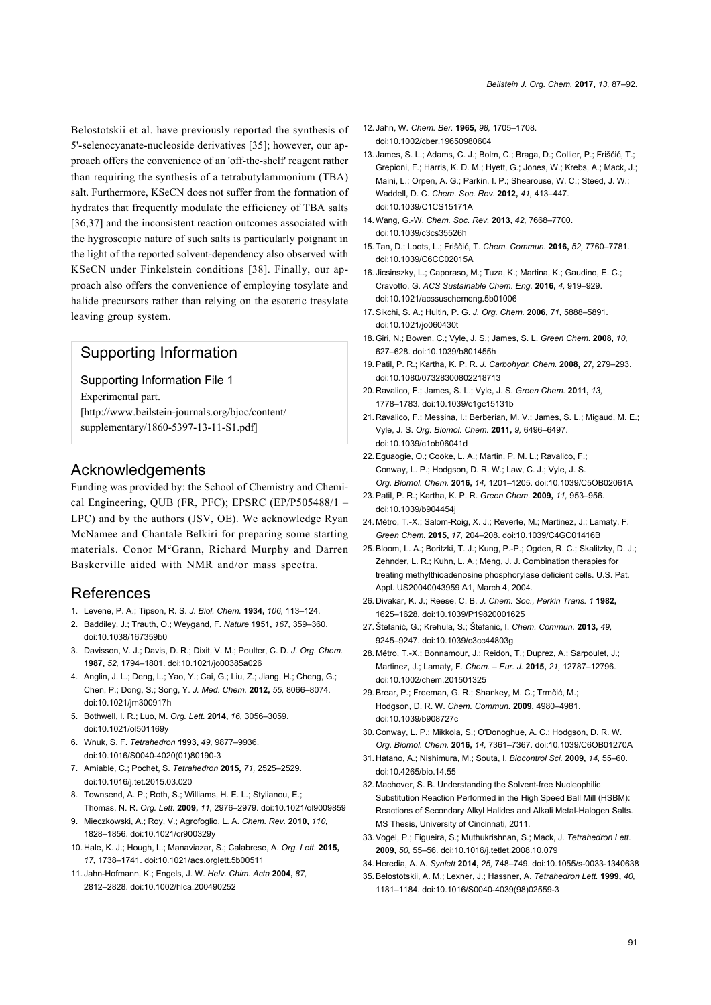Belostotskii et al. have previously reported the synthesis of 5'-selenocyanate-nucleoside derivatives [\[35\]](#page-4-23); however, our approach offers the convenience of an 'off-the-shelf' reagent rather than requiring the synthesis of a tetrabutylammonium (TBA) salt. Furthermore, KSeCN does not suffer from the formation of hydrates that frequently modulate the efficiency of TBA salts [\[36,37\]](#page-5-0) and the inconsistent reaction outcomes associated with the hygroscopic nature of such salts is particularly poignant in the light of the reported solvent-dependency also observed with KSeCN under Finkelstein conditions [\[38\].](#page-5-1) Finally, our approach also offers the convenience of employing tosylate and halide precursors rather than relying on the esoteric tresylate leaving group system.

# Supporting Information

<span id="page-4-8"></span>Supporting Information File 1 Experimental part. [\[http://www.beilstein-journals.org/bjoc/content/](http://www.beilstein-journals.org/bjoc/content/supplementary/1860-5397-13-11-S1.pdf) [supplementary/1860-5397-13-11-S1.pdf\]](http://www.beilstein-journals.org/bjoc/content/supplementary/1860-5397-13-11-S1.pdf)

## Acknowledgements

Funding was provided by: the School of Chemistry and Chemical Engineering, QUB (FR, PFC); EPSRC (EP/P505488/1 – LPC) and by the authors (JSV, OE). We acknowledge Ryan McNamee and Chantale Belkiri for preparing some starting materials. Conor McGrann, Richard Murphy and Darren Baskerville aided with NMR and/or mass spectra.

## References

- <span id="page-4-0"></span>1. Levene, P. A.; Tipson, R. S. *J. Biol. Chem.* **1934,** *106,* 113–124.
- <span id="page-4-1"></span>2. Baddiley, J.; Trauth, O.; Weygand, F. *Nature* **1951,** *167,* 359–360. [doi:10.1038/167359b0](https://doi.org/10.1038%2F167359b0)
- 3. Davisson, V. J.; Davis, D. R.; Dixit, V. M.; Poulter, C. D. *J. Org. Chem.* **1987,** *52,* 1794–1801. [doi:10.1021/jo00385a026](https://doi.org/10.1021%2Fjo00385a026)
- <span id="page-4-2"></span>4. Anglin, J. L.; Deng, L.; Yao, Y.; Cai, G.; Liu, Z.; Jiang, H.; Cheng, G.; Chen, P.; Dong, S.; Song, Y. *J. Med. Chem.* **2012,** *55,* 8066–8074. [doi:10.1021/jm300917h](https://doi.org/10.1021%2Fjm300917h)
- 5. Bothwell, I. R.; Luo, M. *Org. Lett.* **2014,** *16,* 3056–3059. [doi:10.1021/ol501169y](https://doi.org/10.1021%2Fol501169y)
- <span id="page-4-15"></span>6. Wnuk, S. F. *Tetrahedron* **1993,** *49,* 9877–9936. [doi:10.1016/S0040-4020\(01\)80190-3](https://doi.org/10.1016%2FS0040-4020%2801%2980190-3)
- <span id="page-4-3"></span>7. Amiable, C.; Pochet, S. *Tetrahedron* **2015,** *71,* 2525–2529. [doi:10.1016/j.tet.2015.03.020](https://doi.org/10.1016%2Fj.tet.2015.03.020)
- <span id="page-4-4"></span>8. Townsend, A. P.; Roth, S.; Williams, H. E. L.; Stylianou, E.; Thomas, N. R. *Org. Lett.* **2009,** *11,* 2976–2979. [doi:10.1021/ol9009859](https://doi.org/10.1021%2Fol9009859)
- 9. Mieczkowski, A.; Roy, V.; Agrofoglio, L. A. *Chem. Rev.* **2010,** *110,* 1828–1856. [doi:10.1021/cr900329y](https://doi.org/10.1021%2Fcr900329y)
- <span id="page-4-5"></span>10. Hale, K. J.; Hough, L.; Manaviazar, S.; Calabrese, A. *Org. Lett.* **2015,** *17,* 1738–1741. [doi:10.1021/acs.orglett.5b00511](https://doi.org/10.1021%2Facs.orglett.5b00511)
- <span id="page-4-6"></span>11. Jahn-Hofmann, K.; Engels, J. W. *Helv. Chim. Acta* **2004,** *87,* 2812–2828. [doi:10.1002/hlca.200490252](https://doi.org/10.1002%2Fhlca.200490252)
- <span id="page-4-7"></span>12. Jahn, W. *Chem. Ber.* **1965,** *98,* 1705–1708. [doi:10.1002/cber.19650980604](https://doi.org/10.1002%2Fcber.19650980604)
- <span id="page-4-9"></span>13. James, S. L.; Adams, C. J.; Bolm, C.; Braga, D.; Collier, P.; Friščić, T.; Grepioni, F.; Harris, K. D. M.; Hyett, G.; Jones, W.; Krebs, A.; Mack, J.; Maini, L.; Orpen, A. G.; Parkin, I. P.; Shearouse, W. C.; Steed, J. W.; Waddell, D. C. *Chem. Soc. Rev.* **2012,** *41,* 413–447. [doi:10.1039/C1CS15171A](https://doi.org/10.1039%2FC1CS15171A)
- 14.Wang, G.-W. *Chem. Soc. Rev.* **2013,** *42,* 7668–7700. [doi:10.1039/c3cs35526h](https://doi.org/10.1039%2Fc3cs35526h)
- 15.Tan, D.; Loots, L.; Friščić, T. *Chem. Commun.* **2016,** *52,* 7760–7781. [doi:10.1039/C6CC02015A](https://doi.org/10.1039%2FC6CC02015A)
- <span id="page-4-10"></span>16. Jicsinszky, L.; Caporaso, M.; Tuza, K.; Martina, K.; Gaudino, E. C.; Cravotto, G. *ACS Sustainable Chem. Eng.* **2016,** *4,* 919–929. [doi:10.1021/acssuschemeng.5b01006](https://doi.org/10.1021%2Facssuschemeng.5b01006)
- <span id="page-4-11"></span>17.Sikchi, S. A.; Hultin, P. G. *J. Org. Chem.* **2006,** *71,* 5888–5891. [doi:10.1021/jo060430t](https://doi.org/10.1021%2Fjo060430t)
- <span id="page-4-12"></span>18.Giri, N.; Bowen, C.; Vyle, J. S.; James, S. L. *Green Chem.* **2008,** *10,* 627–628. [doi:10.1039/b801455h](https://doi.org/10.1039%2Fb801455h)
- 19.Patil, P. R.; Kartha, K. P. R. *J. Carbohydr. Chem.* **2008,** *27,* 279–293. [doi:10.1080/07328300802218713](https://doi.org/10.1080%2F07328300802218713)
- 20. Ravalico, F.; James, S. L.; Vyle, J. S. *Green Chem.* **2011,** *13,* 1778–1783. [doi:10.1039/c1gc15131b](https://doi.org/10.1039%2Fc1gc15131b)
- 21. Ravalico, F.; Messina, I.; Berberian, M. V.; James, S. L.; Migaud, M. E.; Vyle, J. S. *Org. Biomol. Chem.* **2011,** *9,* 6496–6497. [doi:10.1039/c1ob06041d](https://doi.org/10.1039%2Fc1ob06041d)
- <span id="page-4-13"></span>22.Eguaogie, O.; Cooke, L. A.; Martin, P. M. L.; Ravalico, F.; Conway, L. P.; Hodgson, D. R. W.; Law, C. J.; Vyle, J. S. *Org. Biomol. Chem.* **2016,** *14,* 1201–1205. [doi:10.1039/C5OB02061A](https://doi.org/10.1039%2FC5OB02061A)
- 23.Patil, P. R.; Kartha, K. P. R. *Green Chem.* **2009,** *11,* 953–956. [doi:10.1039/b904454j](https://doi.org/10.1039%2Fb904454j)
- <span id="page-4-14"></span>24. Métro, T.-X.; Salom-Roig, X. J.; Reverte, M.; Martinez, J.; Lamaty, F. *Green Chem.* **2015,** *17,* 204–208. [doi:10.1039/C4GC01416B](https://doi.org/10.1039%2FC4GC01416B)
- <span id="page-4-16"></span>25.Bloom, L. A.; Boritzki, T. J.; Kung, P.-P.; Ogden, R. C.; Skalitzky, D. J.; Zehnder, L. R.; Kuhn, L. A.; Meng, J. J. Combination therapies for treating methylthioadenosine phosphorylase deficient cells. U.S. Pat. Appl. US20040043959 A1, March 4, 2004.
- <span id="page-4-17"></span>26. Divakar, K. J.; Reese, C. B. *J. Chem. Soc., Perkin Trans. 1* **1982,** 1625–1628. [doi:10.1039/P19820001625](https://doi.org/10.1039%2FP19820001625)
- <span id="page-4-18"></span>27.Štefanić, G.; Krehula, S.; Štefanić, I. *Chem. Commun.* **2013,** *49,* 9245–9247. [doi:10.1039/c3cc44803g](https://doi.org/10.1039%2Fc3cc44803g)
- <span id="page-4-19"></span>28. Métro, T.-X.; Bonnamour, J.; Reidon, T.; Duprez, A.; Sarpoulet, J.; Martinez, J.; Lamaty, F. *Chem. – Eur. J.* **2015,** *21,* 12787–12796. [doi:10.1002/chem.201501325](https://doi.org/10.1002%2Fchem.201501325)
- <span id="page-4-20"></span>29.Brear, P.; Freeman, G. R.; Shankey, M. C.; Trmčić, M.; Hodgson, D. R. W. *Chem. Commun.* **2009,** 4980–4981. [doi:10.1039/b908727c](https://doi.org/10.1039%2Fb908727c)
- 30. Conway, L. P.; Mikkola, S.; O'Donoghue, A. C.; Hodgson, D. R. W. *Org. Biomol. Chem.* **2016,** *14,* 7361–7367. [doi:10.1039/C6OB01270A](https://doi.org/10.1039%2FC6OB01270A)
- <span id="page-4-21"></span>31. Hatano, A.; Nishimura, M.; Souta, I. *Biocontrol Sci.* **2009,** *14,* 55–60. [doi:10.4265/bio.14.55](https://doi.org/10.4265%2Fbio.14.55)
- 32. Machover, S. B. Understanding the Solvent-free Nucleophilic Substitution Reaction Performed in the High Speed Ball Mill (HSBM): Reactions of Secondary Alkyl Halides and Alkali Metal-Halogen Salts. MS Thesis, University of Cincinnati, 2011.
- 33.Vogel, P.; Figueira, S.; Muthukrishnan, S.; Mack, J. *Tetrahedron Lett.* **2009,** *50,* 55–56. [doi:10.1016/j.tetlet.2008.10.079](https://doi.org/10.1016%2Fj.tetlet.2008.10.079)
- <span id="page-4-22"></span>34. Heredia, A. A. *Synlett* **2014,** *25,* 748–749. [doi:10.1055/s-0033-1340638](https://doi.org/10.1055%2Fs-0033-1340638)
- <span id="page-4-23"></span>35.Belostotskii, A. M.; Lexner, J.; Hassner, A. *Tetrahedron Lett.* **1999,** *40,* 1181–1184. [doi:10.1016/S0040-4039\(98\)02559-3](https://doi.org/10.1016%2FS0040-4039%2898%2902559-3)